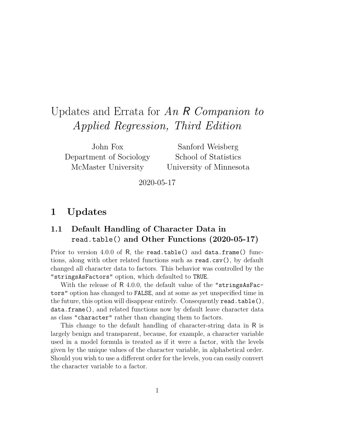# Updates and Errata for An R Companion to Applied Regression, Third Edition

John Fox Department of Sociology McMaster University

Sanford Weisberg School of Statistics University of Minnesota

2020-05-17

### 1 Updates

### 1.1 Default Handling of Character Data in read.table() and Other Functions (2020-05-17)

Prior to version 4.0.0 of R, the read.table() and data.frame() functions, along with other related functions such as read.csv(), by default changed all character data to factors. This behavior was controlled by the "stringsAsFactors" option, which defaulted to TRUE.

With the release of R 4.0.0, the default value of the "stringsAsFactors" option has changed to FALSE, and at some as yet unspecified time in the future, this option will disappear entirely. Consequently read.table(), data.frame(), and related functions now by default leave character data as class "character" rather than changing them to factors.

This change to the default handling of character-string data in R is largely benign and transparent, because, for example, a character variable used in a model formula is treated as if it were a factor, with the levels given by the unique values of the character variable, in alphabetical order. Should you wish to use a different order for the levels, you can easily convert the character variable to a factor.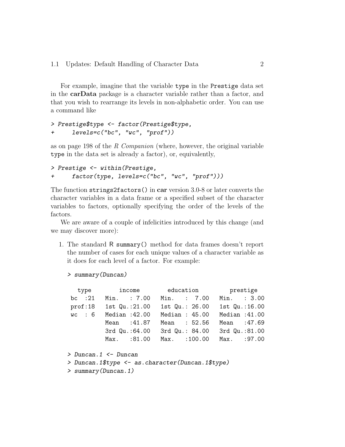For example, imagine that the variable type in the Prestige data set in the carData package is a character variable rather than a factor, and that you wish to rearrange its levels in non-alphabetic order. You can use a command like

```
> Prestige$type <- factor(Prestige$type,
+ levels=c("bc", "wc", "prof"))
```
as on page 198 of the R Companion (where, however, the original variable type in the data set is already a factor), or, equivalently,

```
> Prestige <- within(Prestige,
+ factor(type, levels=c("bc", "wc", "prof")))
```
The function strings2factors() in car version 3.0-8 or later converts the character variables in a data frame or a specified subset of the character variables to factors, optionally specifying the order of the levels of the factors.

We are aware of a couple of infelicities introduced by this change (and we may discover more):

1. The standard R summary() method for data frames doesn't report the number of cases for each unique values of a character variable as it does for each level of a factor. For example:

```
> summary(Duncan)
```

|          |                        | type income education prestige |                |
|----------|------------------------|--------------------------------|----------------|
| bc $:21$ | Min. : 7.00            | Min. : 7.00                    | Min. : 3.00    |
|          | prof:18 1st Qu.:21.00  | 1st Qu.: 26.00                 | 1st Qu.:16.00  |
|          | $wc : 6$ Median :42.00 | Median: $45.00$                | Median : 41.00 |
|          | Mean : 41.87           | Mean : 52.56                   | Mean : 47.69   |
|          | 3rd Qu.: 64.00         | 3rd Qu.: 84.00                 | 3rd Qu.:81.00  |
|          | Max. :81.00            | Max. : 100.00 Max. : 97.00     |                |

- > Duncan.1 <- Duncan
- > Duncan.1\$type <- as.character(Duncan.1\$type)
- > summary(Duncan.1)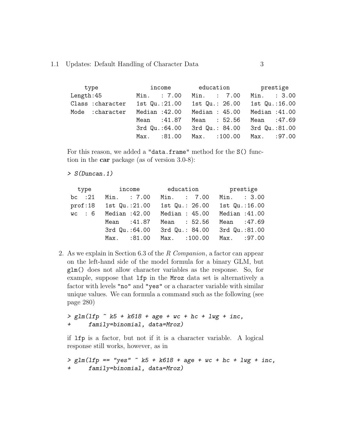#### 1.1 Updates: Default Handling of Character Data 3

type income education prestige Length:45 Min. : 7.00 Min. : 7.00 Min. : 3.00 Class :character 1st Qu.:21.00 1st Qu.: 26.00 1st Qu.:16.00 Mode :character Median :42.00 Median : 45.00 Median :41.00 Mean :41.87 Mean : 52.56 Mean :47.69 3rd Qu.:64.00 3rd Qu.: 84.00 3rd Qu.:81.00 Max. :81.00 Max. :100.00 Max. :97.00

For this reason, we added a "data.frame" method for the S() function in the car package (as of version 3.0-8):

> S(Duncan.1)

| bc $:21$<br>Min. : 7.00<br>Min. : 7.00         |                |
|------------------------------------------------|----------------|
|                                                | Min. : 3.00    |
| prof:18 1st Qu.:21.00<br>1st Qu.: 26.00        | 1st Qu.:16.00  |
| Median :42.00<br>Median: 45.00<br>w.c : 6      | Median : 41.00 |
| Mean : 41.87<br>Mean : 52.56                   | Mean : 47.69   |
| 3rd Qu.: 84.00 3rd Qu.:81.00<br>3rd Qu.: 64.00 |                |
| Max. :100.00<br>Max. :81.00                    | Max. : 97.00   |

2. As we explain in Section 6.3 of the R Companion, a factor can appear on the left-hand side of the model formula for a binary GLM, but glm() does not allow character variables as the response. So, for example, suppose that lfp in the Mroz data set is alternatively a factor with levels "no" and "yes" or a character variable with similar unique values. We can formula a command such as the following (see page 280)

 $> g \ln(1fp \,$   $\sim$  k5 + k618 + age + wc + hc + lwg + inc, family=binomial, data=Mroz)

if lfp is a factor, but not if it is a character variable. A logical response still works, however, as in

```
> g \ln(1fp == "yes" " k5 + k618 + age + wc + hc + lwg + inc,family=binomial, data=Mroz)
```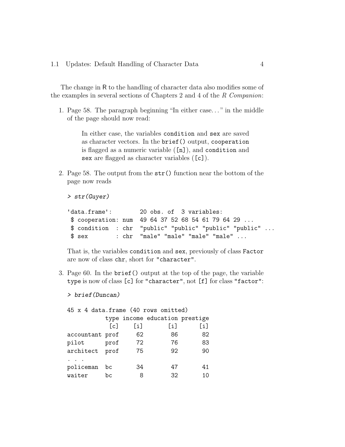The change in R to the handling of character data also modifies some of the examples in several sections of Chapters 2 and 4 of the R Companion:

1. Page 58. The paragraph beginning "In either case. . . " in the middle of the page should now read:

> In either case, the variables condition and sex are saved as character vectors. In the brief() output, cooperation is flagged as a numeric variable ([n]), and condition and sex are flagged as character variables ([c]).

2. Page 58. The output from the str() function near the bottom of the page now reads

> str(Guyer)

'data.frame': 20 obs. of 3 variables: \$ cooperation: num 49 64 37 52 68 54 61 79 64 29 ... \$ condition : chr "public" "public" "public" "public" ... \$ sex : chr "male" "male" "male" "male" ...

That is, the variables condition and sex, previously of class Factor are now of class chr, short for "character".

3. Page 60. In the brief() output at the top of the page, the variable type is now of class [c] for "character", not [f] for class "factor":

> brief(Duncan)

| 45 x 4 data.frame (40 rows omitted) |      |     |                                |     |  |  |
|-------------------------------------|------|-----|--------------------------------|-----|--|--|
|                                     |      |     | type income education prestige |     |  |  |
|                                     | [c]  | [i] | [i]                            | [i] |  |  |
| accountant prof                     |      | 62  | 86                             | 82  |  |  |
| pilot                               | prof | 72  | 76                             | 83  |  |  |
| architect prof                      |      | 75  | 92                             | 90  |  |  |
|                                     |      |     |                                |     |  |  |
| policeman                           | bc   | 34  | 47                             | 41  |  |  |
| waiter                              | bc.  | 8   | 32                             | 10  |  |  |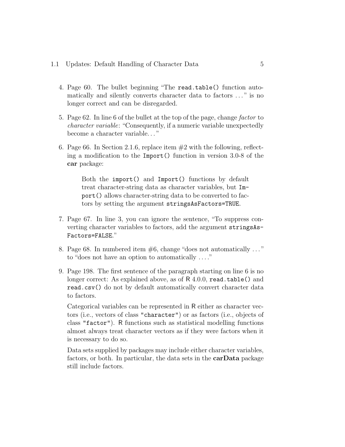- 4. Page 60. The bullet beginning "The read.table() function automatically and silently converts character data to factors . . . " is no longer correct and can be disregarded.
- 5. Page 62. In line 6 of the bullet at the top of the page, change factor to character variable: "Consequently, if a numeric variable unexpectedly become a character variable. . . "
- 6. Page 66. In Section 2.1.6, replace item  $\#2$  with the following, reflecting a modification to the Import() function in version 3.0-8 of the car package:

Both the import() and Import() functions by default treat character-string data as character variables, but Import() allows character-string data to be converted to factors by setting the argument stringsAsFactors=TRUE.

- 7. Page 67. In line 3, you can ignore the sentence, "To suppress converting character variables to factors, add the argument stringsAs-Factors=FALSE."
- 8. Page 68. In numbered item  $#6$ , change "does not automatically ..." to "does not have an option to automatically . . . ."
- 9. Page 198. The first sentence of the paragraph starting on line 6 is no longer correct: As explained above, as of R 4.0.0, read.table() and read.csv() do not by default automatically convert character data to factors.

Categorical variables can be represented in R either as character vectors (i.e., vectors of class "character") or as factors (i.e., objects of class "factor"). R functions such as statistical modelling functions almost always treat character vectors as if they were factors when it is necessary to do so.

Data sets supplied by packages may include either character variables, factors, or both. In particular, the data sets in the carData package still include factors.